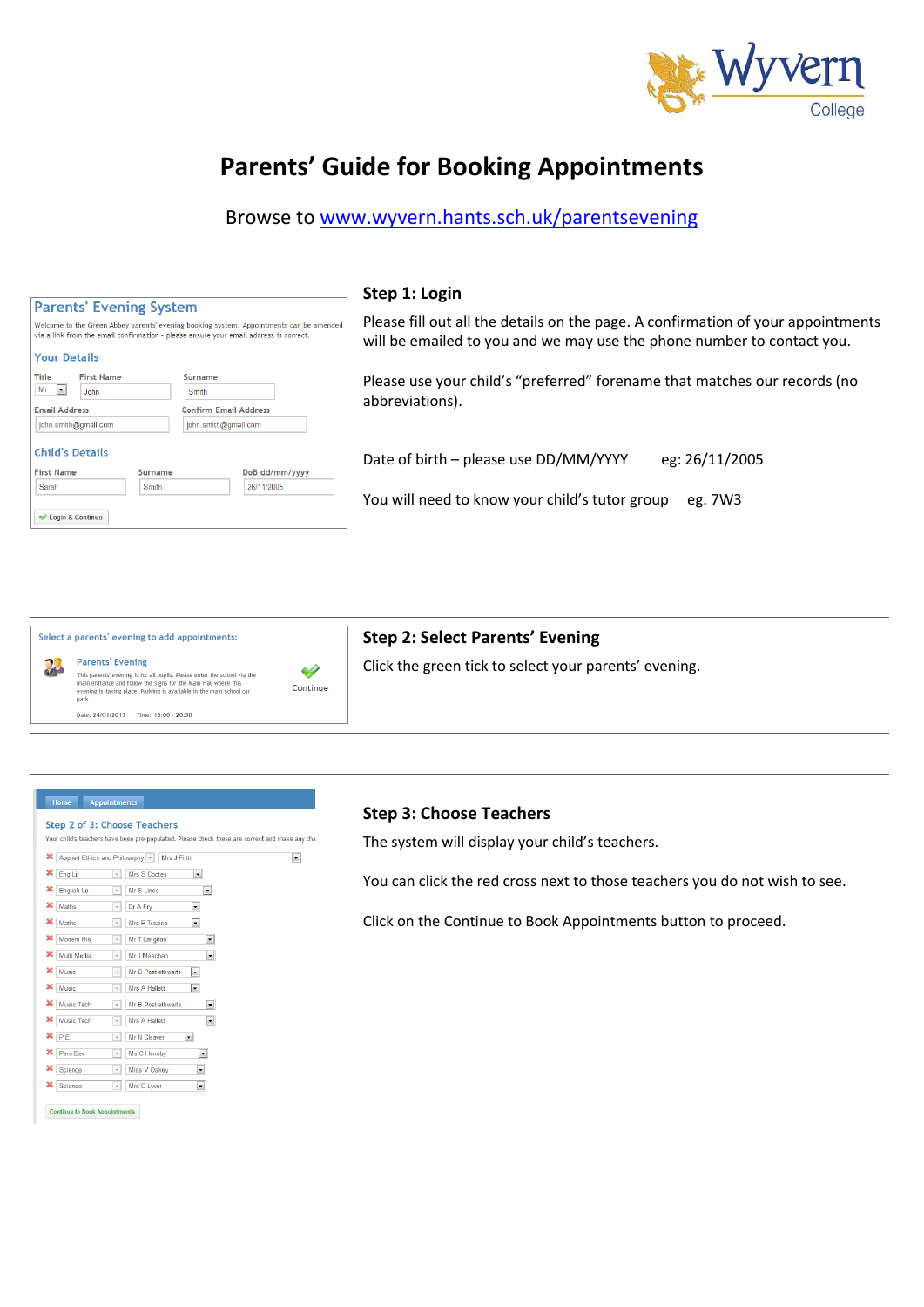

# **Parents' Guide for Booking Appointments**

Browse to [www.wyvern.hants.sch.uk/parentsevening](http://www.wyvern.hants.sch.uk/parentsevening)

|                                                                                                                                                                                  | Step 1: Login                                                                                                                                              |
|----------------------------------------------------------------------------------------------------------------------------------------------------------------------------------|------------------------------------------------------------------------------------------------------------------------------------------------------------|
| <b>Parents' Evening System</b>                                                                                                                                                   |                                                                                                                                                            |
| Welcome to the Green Abbey parents' evening booking system. Appointments can be amended<br>via a link from the email confirmation - please ensure your email address is correct. | Please fill out all the details on the page. A confirmation of your appointments<br>will be emailed to you and we may use the phone number to contact you. |
| <b>Your Details</b>                                                                                                                                                              |                                                                                                                                                            |
| Title<br><b>First Name</b><br>Surname<br>Mr $\vert \bullet \vert$<br>John<br>Smith                                                                                               | Please use your child's "preferred" forename that matches our records (no<br>abbreviations).                                                               |
| <b>Confirm Email Address</b><br><b>Email Address</b>                                                                                                                             |                                                                                                                                                            |
| john.smith@gmail.com<br>john.smith@gmail.com                                                                                                                                     |                                                                                                                                                            |
| <b>Child's Details</b>                                                                                                                                                           | Date of birth - please use DD/MM/YYYY<br>eg: 26/11/2005                                                                                                    |
| <b>First Name</b><br>DoB dd/mm/yyyy<br>Surname                                                                                                                                   |                                                                                                                                                            |
| 26/11/2005<br>Smith<br>Sarah                                                                                                                                                     |                                                                                                                                                            |
|                                                                                                                                                                                  | You will need to know your child's tutor group<br>eg. 7W3                                                                                                  |
| Login & Continue                                                                                                                                                                 |                                                                                                                                                            |
|                                                                                                                                                                                  |                                                                                                                                                            |
|                                                                                                                                                                                  |                                                                                                                                                            |

|    | Select a parents' evening to add appointments:                                                                                                                                                                               |
|----|------------------------------------------------------------------------------------------------------------------------------------------------------------------------------------------------------------------------------|
| 22 | <b>Parents' Evening</b>                                                                                                                                                                                                      |
|    | This parents' evening is for all pupils. Please enter the school via the<br>main entrance and follow the signs for the Main Hall where this<br>evening is taking place. Parking is available in the main school car<br>park. |

Date: 24/01/2013 Time: 16:00 - 20:30

 $\blacklozenge$ Continue

## **Step 2: Select Parents' Evening**

Click the green tick to select your parents' evening.

#### Home Appointments

#### Step 2 of 3: Choose Teachers

|                   | X Applied Ethics and Philosophy ~<br>Mrs J Firth                       |                          |
|-------------------|------------------------------------------------------------------------|--------------------------|
| Eng Lit           | Mrs S Cootes<br>$\blacktriangledown$<br>$\checkmark$                   |                          |
| English La        | Mr S Lines<br>$\overline{\phantom{a}}$                                 | $\left. \cdot \right.$   |
| Maths             | Dr A Fry<br>$\blacktriangledown$<br>$\overline{\phantom{a}}$           |                          |
| ×<br>Maths        | Mrs P Trezise<br>$\blacktriangledown$<br>$\overline{\mathbf{v}}$       |                          |
| Modern His        | Mr T Langdon<br>$\overline{\phantom{a}}$                               | ▾                        |
| ×<br>Multi Media  | Mr J Meechan<br>$\overline{\phantom{a}}$                               | $\blacktriangledown$     |
| ×<br>Music        | Mr B Postlethwaite<br>$\blacktriangledown$<br>$\overline{\phantom{a}}$ |                          |
| Music             | $\blacktriangledown$<br>Mrs A Hallett<br>$\overline{\phantom{a}}$      |                          |
| <b>Music Tech</b> | Mr B Postlethwaite<br>$\overline{\phantom{a}}$                         | $\blacktriangledown$     |
| <b>Music Tech</b> | Mrs A Hallett<br>$\overline{\phantom{a}}$                              | $\overline{\phantom{a}}$ |
| $x_{P}$           | Mr N Cleaver<br>$\blacktriangledown$<br>$\overline{\phantom{a}}$       |                          |
| ×<br>Pers Dev     | Ms C Hensby<br>$\overline{\phantom{a}}$<br>v                           |                          |
| Science           | ▾<br>Miss V Oakey<br>$\overline{\phantom{a}}$                          |                          |
| Science           | Mrs C Lyver<br>$\overline{\phantom{a}}$<br>▾∥                          |                          |

#### **Step 3: Choose Teachers**

The system will display your child's teachers.

You can click the red cross next to those teachers you do not wish to see.

Click on the Continue to Book Appointments button to proceed.